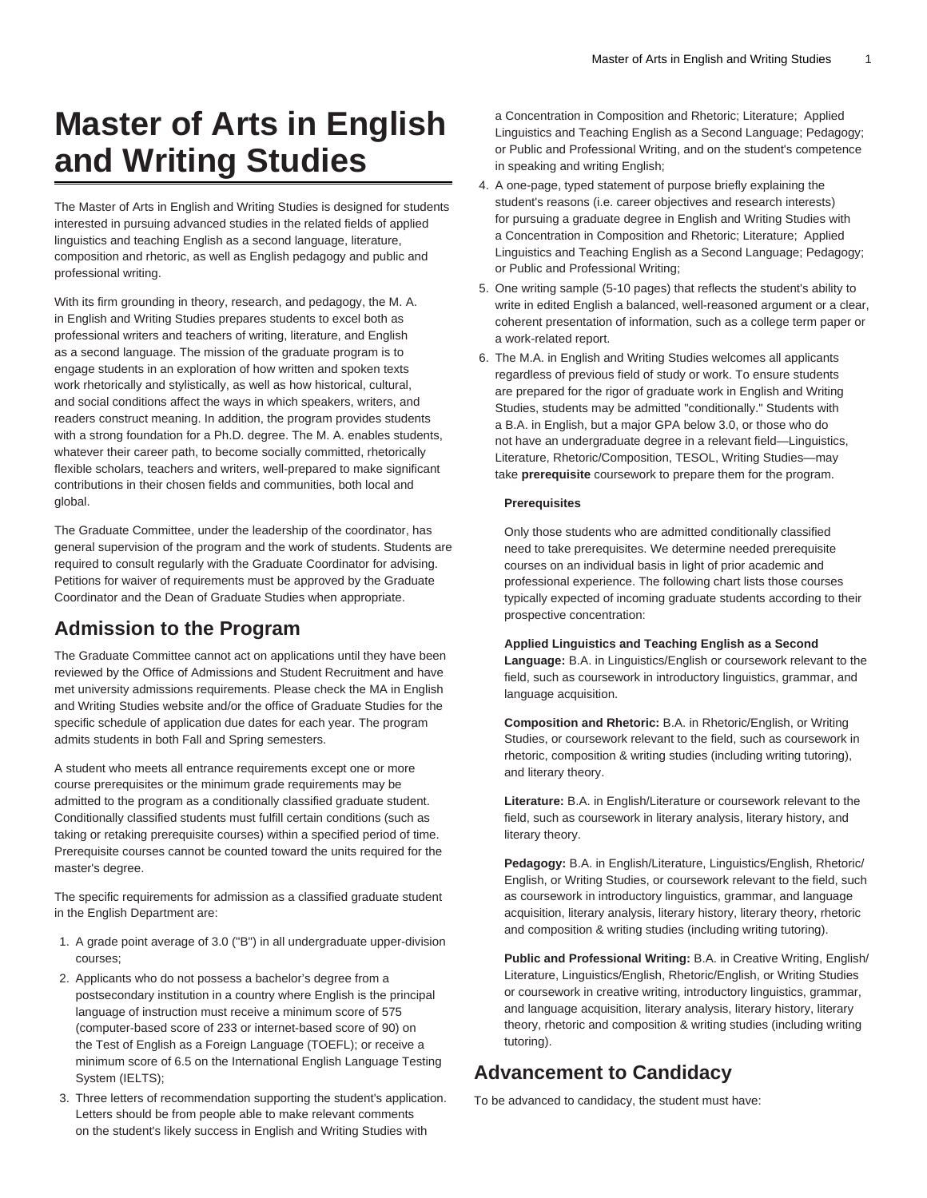# **Master of Arts in English and Writing Studies**

The Master of Arts in English and Writing Studies is designed for students interested in pursuing advanced studies in the related fields of applied linguistics and teaching English as a second language, literature, composition and rhetoric, as well as English pedagogy and public and professional writing.

With its firm grounding in theory, research, and pedagogy, the M. A. in English and Writing Studies prepares students to excel both as professional writers and teachers of writing, literature, and English as a second language. The mission of the graduate program is to engage students in an exploration of how written and spoken texts work rhetorically and stylistically, as well as how historical, cultural, and social conditions affect the ways in which speakers, writers, and readers construct meaning. In addition, the program provides students with a strong foundation for a Ph.D. degree. The M. A. enables students, whatever their career path, to become socially committed, rhetorically flexible scholars, teachers and writers, well-prepared to make significant contributions in their chosen fields and communities, both local and global.

The Graduate Committee, under the leadership of the coordinator, has general supervision of the program and the work of students. Students are required to consult regularly with the Graduate Coordinator for advising. Petitions for waiver of requirements must be approved by the Graduate Coordinator and the Dean of Graduate Studies when appropriate.

### **Admission to the Program**

The Graduate Committee cannot act on applications until they have been reviewed by the Office of Admissions and Student Recruitment and have met university admissions requirements. Please check the MA in English and Writing Studies website and/or the office of Graduate Studies for the specific schedule of application due dates for each year. The program admits students in both Fall and Spring semesters.

A student who meets all entrance requirements except one or more course prerequisites or the minimum grade requirements may be admitted to the program as a conditionally classified graduate student. Conditionally classified students must fulfill certain conditions (such as taking or retaking prerequisite courses) within a specified period of time. Prerequisite courses cannot be counted toward the units required for the master's degree.

The specific requirements for admission as a classified graduate student in the English Department are:

- 1. A grade point average of 3.0 ("B") in all undergraduate upper-division courses;
- 2. Applicants who do not possess a bachelor's degree from a postsecondary institution in a country where English is the principal language of instruction must receive a minimum score of 575 (computer-based score of 233 or internet-based score of 90) on the Test of English as a Foreign Language (TOEFL); or receive a minimum score of 6.5 on the International English Language Testing System (IELTS);
- 3. Three letters of recommendation supporting the student's application. Letters should be from people able to make relevant comments on the student's likely success in English and Writing Studies with

a Concentration in Composition and Rhetoric; Literature; Applied Linguistics and Teaching English as a Second Language; Pedagogy; or Public and Professional Writing, and on the student's competence in speaking and writing English;

- 4. A one-page, typed statement of purpose briefly explaining the student's reasons (i.e. career objectives and research interests) for pursuing a graduate degree in English and Writing Studies with a Concentration in Composition and Rhetoric; Literature; Applied Linguistics and Teaching English as a Second Language; Pedagogy; or Public and Professional Writing;
- 5. One writing sample (5-10 pages) that reflects the student's ability to write in edited English a balanced, well-reasoned argument or a clear, coherent presentation of information, such as a college term paper or a work-related report.
- 6. The M.A. in English and Writing Studies welcomes all applicants regardless of previous field of study or work. To ensure students are prepared for the rigor of graduate work in English and Writing Studies, students may be admitted "conditionally." Students with a B.A. in English, but a major GPA below 3.0, or those who do not have an undergraduate degree in a relevant field—Linguistics, Literature, Rhetoric/Composition, TESOL, Writing Studies—may take **prerequisite** coursework to prepare them for the program.

#### **Prerequisites**

Only those students who are admitted conditionally classified need to take prerequisites. We determine needed prerequisite courses on an individual basis in light of prior academic and professional experience. The following chart lists those courses typically expected of incoming graduate students according to their prospective concentration:

**Applied Linguistics and Teaching English as a Second Language:** B.A. in Linguistics/English or coursework relevant to the field, such as coursework in introductory linguistics, grammar, and language acquisition.

**Composition and Rhetoric:** B.A. in Rhetoric/English, or Writing Studies, or coursework relevant to the field, such as coursework in rhetoric, composition & writing studies (including writing tutoring), and literary theory.

**Literature:** B.A. in English/Literature or coursework relevant to the field, such as coursework in literary analysis, literary history, and literary theory.

**Pedagogy:** B.A. in English/Literature, Linguistics/English, Rhetoric/ English, or Writing Studies, or coursework relevant to the field, such as coursework in introductory linguistics, grammar, and language acquisition, literary analysis, literary history, literary theory, rhetoric and composition & writing studies (including writing tutoring).

**Public and Professional Writing:** B.A. in Creative Writing, English/ Literature, Linguistics/English, Rhetoric/English, or Writing Studies or coursework in creative writing, introductory linguistics, grammar, and language acquisition, literary analysis, literary history, literary theory, rhetoric and composition & writing studies (including writing tutoring).

### **Advancement to Candidacy**

To be advanced to candidacy, the student must have: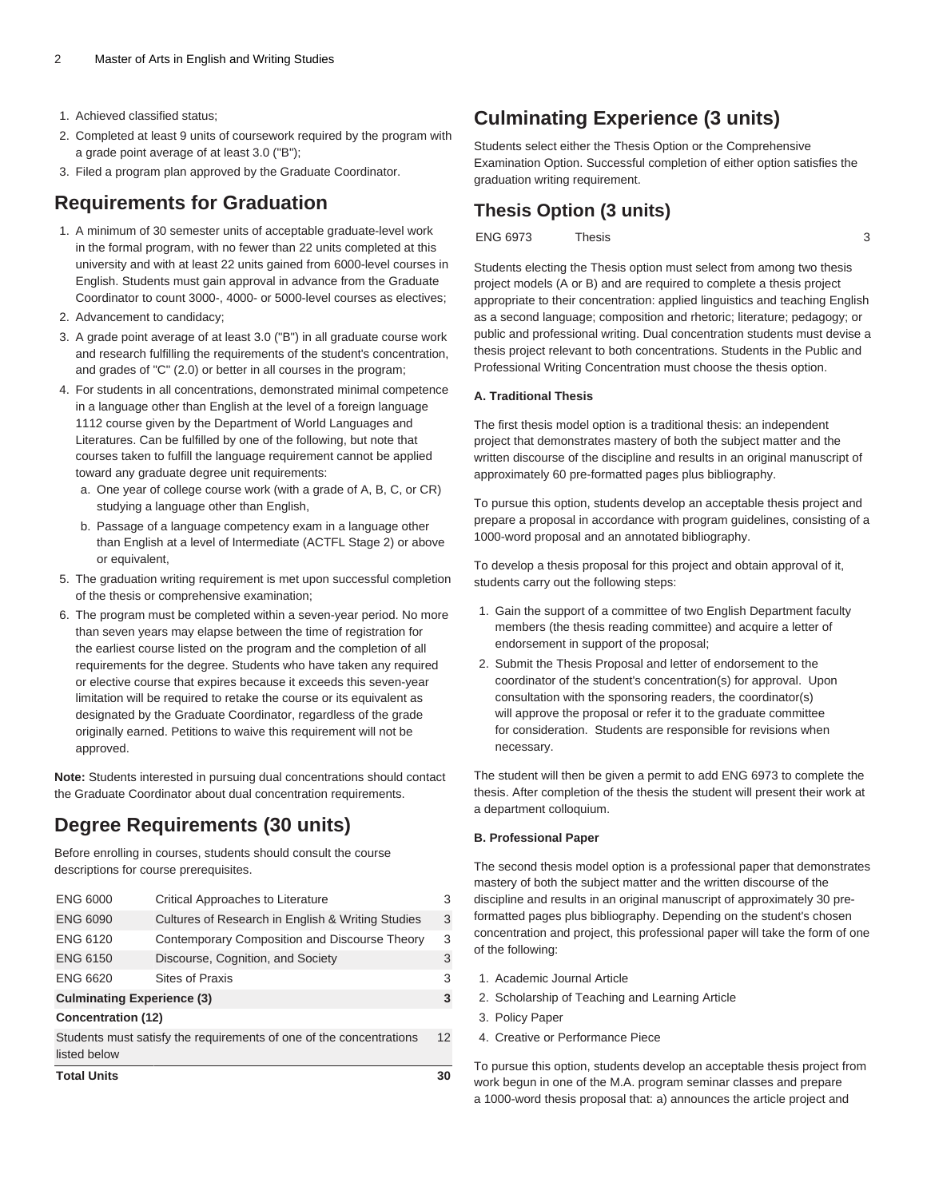- 1. Achieved classified status;
- 2. Completed at least 9 units of coursework required by the program with a grade point average of at least 3.0 ("B");
- 3. Filed a program plan approved by the Graduate Coordinator.

### **Requirements for Graduation**

- 1. A minimum of 30 semester units of acceptable graduate-level work in the formal program, with no fewer than 22 units completed at this university and with at least 22 units gained from 6000-level courses in English. Students must gain approval in advance from the Graduate Coordinator to count 3000-, 4000- or 5000-level courses as electives;
- 2. Advancement to candidacy;
- 3. A grade point average of at least 3.0 ("B") in all graduate course work and research fulfilling the requirements of the student's concentration, and grades of "C" (2.0) or better in all courses in the program;
- 4. For students in all concentrations, demonstrated minimal competence in a language other than English at the level of a foreign language 1112 course given by the Department of World Languages and Literatures. Can be fulfilled by one of the following, but note that courses taken to fulfill the language requirement cannot be applied toward any graduate degree unit requirements:
	- a. One year of college course work (with a grade of A, B, C, or CR) studying a language other than English,
	- b. Passage of a language competency exam in a language other than English at a level of Intermediate (ACTFL Stage 2) or above or equivalent,
- 5. The graduation writing requirement is met upon successful completion of the thesis or comprehensive examination;
- 6. The program must be completed within a seven-year period. No more than seven years may elapse between the time of registration for the earliest course listed on the program and the completion of all requirements for the degree. Students who have taken any required or elective course that expires because it exceeds this seven-year limitation will be required to retake the course or its equivalent as designated by the Graduate Coordinator, regardless of the grade originally earned. Petitions to waive this requirement will not be approved.

**Note:** Students interested in pursuing dual concentrations should contact the Graduate Coordinator about dual concentration requirements.

## **Degree Requirements (30 units)**

Before enrolling in courses, students should consult the course descriptions for course prerequisites.

| <b>Total Units</b>                                                  |                                                   | 30 |
|---------------------------------------------------------------------|---------------------------------------------------|----|
| listed below                                                        |                                                   |    |
| Students must satisfy the requirements of one of the concentrations |                                                   | 12 |
| <b>Concentration (12)</b>                                           |                                                   |    |
| <b>Culminating Experience (3)</b>                                   |                                                   | 3  |
| <b>ENG 6620</b>                                                     | <b>Sites of Praxis</b>                            | 3  |
| <b>ENG 6150</b>                                                     | Discourse, Cognition, and Society                 | 3  |
| <b>ENG 6120</b>                                                     | Contemporary Composition and Discourse Theory     | 3  |
| <b>ENG 6090</b>                                                     | Cultures of Research in English & Writing Studies | 3  |
| <b>ENG 6000</b>                                                     | Critical Approaches to Literature                 | 3  |

## **Culminating Experience (3 units)**

Students select either the Thesis Option or the Comprehensive Examination Option. Successful completion of either option satisfies the graduation writing requirement.

### **Thesis Option (3 units)**

[ENG 6973](/search/?P=ENG%206973) Thesis 3

Students electing the Thesis option must select from among two thesis project models (A or B) and are required to complete a thesis project appropriate to their concentration: applied linguistics and teaching English as a second language; composition and rhetoric; literature; pedagogy; or public and professional writing. Dual concentration students must devise a thesis project relevant to both concentrations. Students in the Public and Professional Writing Concentration must choose the thesis option.

### **A. Traditional Thesis**

The first thesis model option is a traditional thesis: an independent project that demonstrates mastery of both the subject matter and the written discourse of the discipline and results in an original manuscript of approximately 60 pre-formatted pages plus bibliography.

To pursue this option, students develop an acceptable thesis project and prepare a proposal in accordance with program guidelines, consisting of a 1000-word proposal and an annotated bibliography.

To develop a thesis proposal for this project and obtain approval of it, students carry out the following steps:

- 1. Gain the support of a committee of two English Department faculty members (the thesis reading committee) and acquire a letter of endorsement in support of the proposal;
- 2. Submit the Thesis Proposal and letter of endorsement to the coordinator of the student's concentration(s) for approval. Upon consultation with the sponsoring readers, the coordinator(s) will approve the proposal or refer it to the graduate committee for consideration. Students are responsible for revisions when necessary.

The student will then be given a permit to add [ENG 6973](/search/?P=ENG%206973) to complete the thesis. After completion of the thesis the student will present their work at a department colloquium.

#### **B. Professional Paper**

The second thesis model option is a professional paper that demonstrates mastery of both the subject matter and the written discourse of the discipline and results in an original manuscript of approximately 30 preformatted pages plus bibliography. Depending on the student's chosen concentration and project, this professional paper will take the form of one of the following:

- 1. Academic Journal Article
- 2. Scholarship of Teaching and Learning Article
- 3. Policy Paper
- 4. Creative or Performance Piece

To pursue this option, students develop an acceptable thesis project from work begun in one of the M.A. program seminar classes and prepare a 1000-word thesis proposal that: a) announces the article project and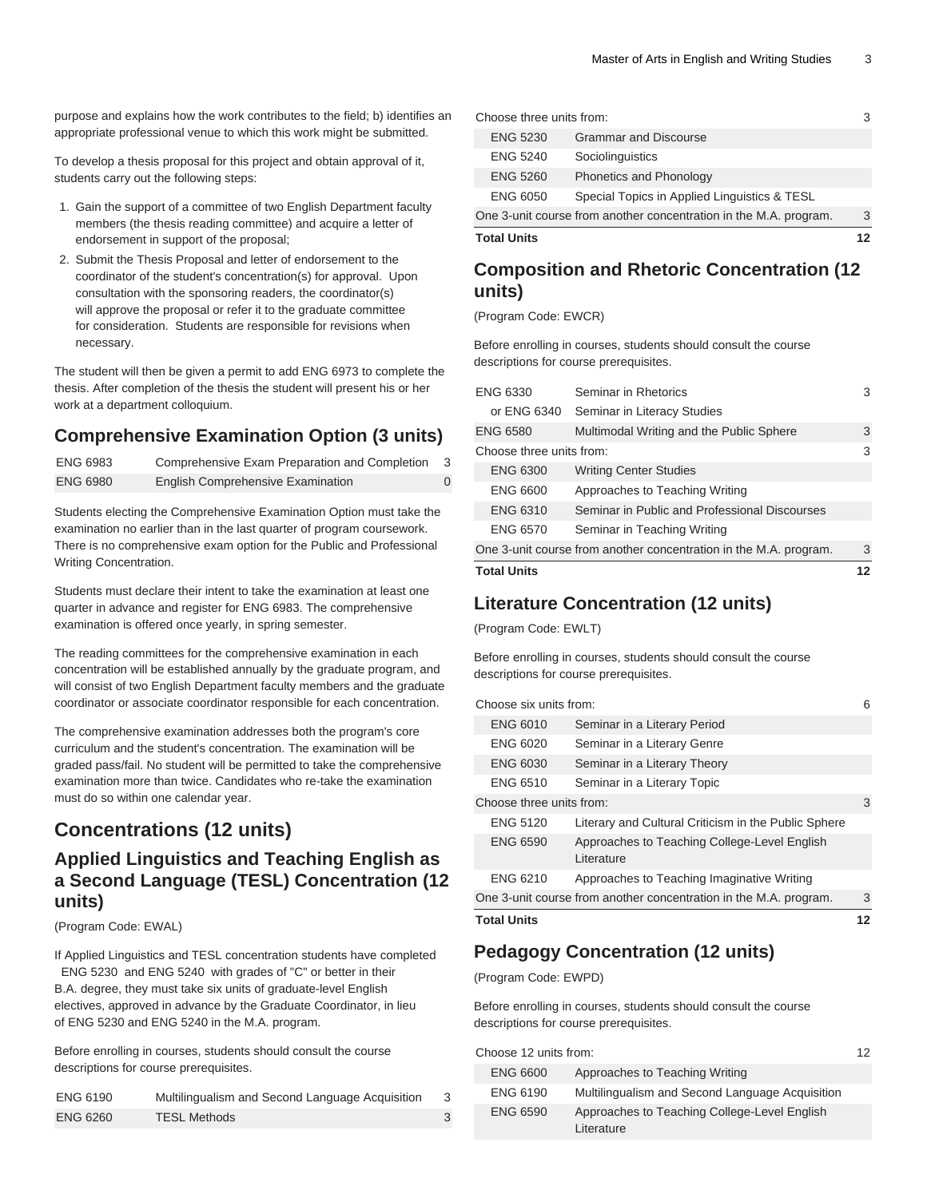purpose and explains how the work contributes to the field; b) identifies an appropriate professional venue to which this work might be submitted.

To develop a thesis proposal for this project and obtain approval of it, students carry out the following steps:

- 1. Gain the support of a committee of two English Department faculty members (the thesis reading committee) and acquire a letter of endorsement in support of the proposal;
- 2. Submit the Thesis Proposal and letter of endorsement to the coordinator of the student's concentration(s) for approval. Upon consultation with the sponsoring readers, the coordinator(s) will approve the proposal or refer it to the graduate committee for consideration. Students are responsible for revisions when necessary.

The student will then be given a permit to add [ENG 6973](/search/?P=ENG%206973) to complete the thesis. After completion of the thesis the student will present his or her work at a department colloquium.

### **Comprehensive Examination Option (3 units)**

| ENG 6983 | Comprehensive Exam Preparation and Completion | 3 |
|----------|-----------------------------------------------|---|
| ENG 6980 | English Comprehensive Examination             |   |

Students electing the Comprehensive Examination Option must take the examination no earlier than in the last quarter of program coursework. There is no comprehensive exam option for the Public and Professional Writing Concentration.

Students must declare their intent to take the examination at least one quarter in advance and register for [ENG 6983.](/search/?P=ENG%206983) The comprehensive examination is offered once yearly, in spring semester.

The reading committees for the comprehensive examination in each concentration will be established annually by the graduate program, and will consist of two English Department faculty members and the graduate coordinator or associate coordinator responsible for each concentration.

The comprehensive examination addresses both the program's core curriculum and the student's concentration. The examination will be graded pass/fail. No student will be permitted to take the comprehensive examination more than twice. Candidates who re-take the examination must do so within one calendar year.

## **Concentrations (12 units)**

### **Applied Linguistics and Teaching English as a Second Language (TESL) Concentration (12 units)**

(Program Code: EWAL)

If Applied Linguistics and TESL concentration students have completed [ENG 5230](/search/?P=ENG%205230) and [ENG 5240](/search/?P=ENG%205240) with grades of "C" or better in their B.A. degree, they must take six units of graduate-level English electives, approved in advance by the Graduate Coordinator, in lieu of [ENG 5230](/search/?P=ENG%205230) and [ENG 5240](/search/?P=ENG%205240) in the M.A. program.

Before enrolling in courses, students should consult the course descriptions for course prerequisites.

| <b>ENG 6190</b> | Multilingualism and Second Language Acquisition |  |
|-----------------|-------------------------------------------------|--|
| <b>ENG 6260</b> | <b>TESL Methods</b>                             |  |

| Choose three units from:                                          |                                              |   |
|-------------------------------------------------------------------|----------------------------------------------|---|
| <b>ENG 5230</b>                                                   | <b>Grammar and Discourse</b>                 |   |
| <b>ENG 5240</b>                                                   | Sociolinguistics                             |   |
| <b>ENG 5260</b>                                                   | Phonetics and Phonology                      |   |
| <b>ENG 6050</b>                                                   | Special Topics in Applied Linguistics & TESL |   |
| One 3-unit course from another concentration in the M.A. program. |                                              | 3 |
| <b>Total Units</b>                                                |                                              |   |

### **Composition and Rhetoric Concentration (12 units)**

(Program Code: EWCR)

Before enrolling in courses, students should consult the course descriptions for course prerequisites.

| ENG 6330                                                          | Seminar in Rhetorics                          |   |
|-------------------------------------------------------------------|-----------------------------------------------|---|
| or ENG 6340                                                       | Seminar in Literacy Studies                   |   |
| <b>ENG 6580</b>                                                   | Multimodal Writing and the Public Sphere      | 3 |
| Choose three units from:                                          |                                               | 3 |
| <b>ENG 6300</b>                                                   | <b>Writing Center Studies</b>                 |   |
| <b>ENG 6600</b>                                                   | Approaches to Teaching Writing                |   |
| <b>ENG 6310</b>                                                   | Seminar in Public and Professional Discourses |   |
| <b>ENG 6570</b>                                                   | Seminar in Teaching Writing                   |   |
| One 3-unit course from another concentration in the M.A. program. |                                               | 3 |
| <b>Total Units</b>                                                |                                               |   |

### **Literature Concentration (12 units)**

(Program Code: EWLT)

Before enrolling in courses, students should consult the course descriptions for course prerequisites.

| <b>Total Units</b>                                                |                                                            | 12 |
|-------------------------------------------------------------------|------------------------------------------------------------|----|
| One 3-unit course from another concentration in the M.A. program. |                                                            | 3  |
| <b>ENG 6210</b>                                                   | Approaches to Teaching Imaginative Writing                 |    |
| <b>ENG 6590</b>                                                   | Approaches to Teaching College-Level English<br>Literature |    |
| <b>ENG 5120</b>                                                   | Literary and Cultural Criticism in the Public Sphere       |    |
|                                                                   | Choose three units from:                                   |    |
| <b>ENG 6510</b>                                                   | Seminar in a Literary Topic                                |    |
| ENG 6030                                                          | Seminar in a Literary Theory                               |    |
| ENG 6020                                                          | Seminar in a Literary Genre                                |    |
| <b>ENG 6010</b>                                                   | Seminar in a Literary Period                               |    |
| Choose six units from:                                            |                                                            | 6  |

### **Pedagogy Concentration (12 units)**

(Program Code: EWPD)

Before enrolling in courses, students should consult the course descriptions for course prerequisites.

| Choose 12 units from: |                                                            | 12 |
|-----------------------|------------------------------------------------------------|----|
| <b>ENG 6600</b>       | Approaches to Teaching Writing                             |    |
| <b>ENG 6190</b>       | Multilingualism and Second Language Acquisition            |    |
| <b>ENG 6590</b>       | Approaches to Teaching College-Level English<br>Literature |    |